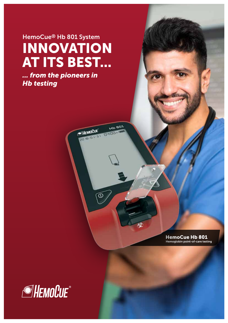# INNOVATION AT ITS BEST... HemoCue® Hb 801 System

HD BOT

勉

BO 18-01-31 DHOO- OIL

 $\circledcirc$ 

HEMOCUE<sup></sup>

*... from the pioneers in Hb testing*

> HemoCue Hb 801 Hemoglobin point-of-care testing

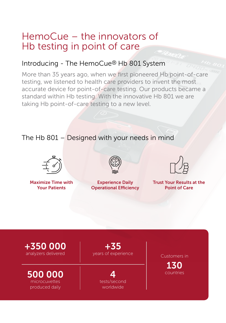## HemoCue – the innovators of Hb testing in point of care

### Introducing - The HemoCue® Hb 801 System

More than 35 years ago, when we first pioneered Hb point-of-care testing, we listened to health care providers to invent the most accurate device for point-of-care testing. Our products became a standard within Hb testing. With the innovative Hb 801 we are taking Hb point-of-care testing to a new level.

### The Hb 801 – Designed with your needs in mind



Maximize Time with Your Patients



Experience Daily Operational Efficiency



Trust Your Results at the Point of Care

+350 000 analyzers delivered

500 000 microcuvettes produced daily

+35 years of experience and Customers in

tests/second worldwide

130 countries 4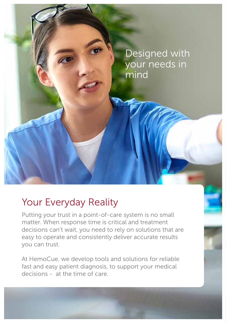

## Your Everyday Reality

Putting your trust in a point-of-care system is no small matter. When response time is critical and treatment decisions can't wait, you need to rely on solutions that are easy to operate and consistently deliver accurate results you can trust.

At HemoCue, we develop tools and solutions for reliable fast and easy patient diagnosis, to support your medical decisions - at the time of care.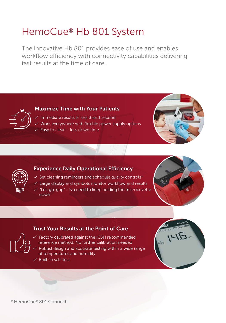## HemoCue® Hb 801 System

The innovative Hb 801 provides ease of use and enables workflow efficiency with connectivity capabilities delivering fast results at the time of care.



#### Maximize Time with Your Patients

 $\checkmark$  Immediate results in less than 1 second  $\angle$  Work everywhere with flexible power supply options  $\checkmark$  Easy to clean - less down time





#### Experience Daily Operational Efficiency

- $\checkmark$  Set cleaning reminders and schedule quality controls\*
- $\checkmark$  Large display and symbols monitor workflow and results
- $\sqrt{ }$  "Let-go-grip" No need to keep holding the microcuvette down



#### Trust Your Results at the Point of Care



 $\checkmark$  Factory calibrated against the ICSH recommended reference method. No further calibration needed  $\overline{\mathscr{S}}$  Robust design and accurate testing within a wide range of temperatures and humidity

 $\checkmark$  Built-in self-test



\* HemoCue® 801 Connect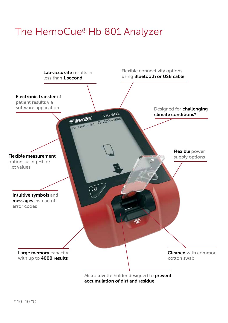## The HemoCue® Hb 801 Analyzer

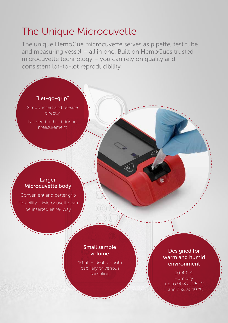## The Unique Microcuvette

The unique HemoCue microcuvette serves as pipette, test tube and measuring vessel – all in one. Built on HemoCues trusted microcuvette technology – you can rely on quality and consistent lot-to-lot reproducibility.

#### "Let-go-grip"

Simply insert and release directly

No need to hold during measurement

#### Larger Microcuvette body

Convenient and better grip Flexibility – Microcuvette can be inserted either way

#### Small sample volume

 $10 \mu L$  – ideal for both capillary or venous sampling

Designed for warm and humid environment

 $10-40$  °C Humidity: up to 90% at 25 °C and 75% at 40 °C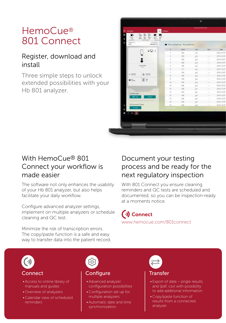## HemoCue® 801 Connect

### Register, download and install

Three simple steps to unlock extended possibilities with your Hb 801 analyzer.

| ß.<br>Equ<br><b>Band</b><br>ling Standar<br>Engels in an | B<br>$_{\rm{Gup}}$<br>Apost<br>tur.<br>late 4<br>ford<br><b>Brief Islands</b><br>Newtoner Line<br>Elevented to:<br>MANAGERY (F)<br>$Q \bigoplus q$ | <b>Eng</b><br>٠<br>1 | Measurement Log - Previous Results<br>Nesoti | <b>Use</b> |             |            |
|----------------------------------------------------------|----------------------------------------------------------------------------------------------------------------------------------------------------|----------------------|----------------------------------------------|------------|-------------|------------|
|                                                          |                                                                                                                                                    |                      |                                              |            |             |            |
|                                                          |                                                                                                                                                    |                      |                                              |            |             |            |
|                                                          |                                                                                                                                                    |                      |                                              |            | Dem         | Date       |
|                                                          |                                                                                                                                                    |                      | tos                                          | 从无         |             | 2018-12-57 |
|                                                          |                                                                                                                                                    |                      | 108                                          | n/L        | ÷           | 2010-12-07 |
|                                                          |                                                                                                                                                    | з                    | 109                                          | g/L        | 444         | 2018-12-07 |
|                                                          |                                                                                                                                                    | 4                    | tos                                          | 95         | $100 - 100$ | 2018-12-07 |
| <b>Installer Status</b><br><b>Ball</b>                   |                                                                                                                                                    | x                    | 108                                          | uA.        | $\sim$      | 2018-12-07 |
|                                                          |                                                                                                                                                    | ä                    | 11V                                          | 3/L        | $-1$        | 2010-12-07 |
|                                                          | Q Hotel                                                                                                                                            | y                    | tti                                          | ig/L       | m           | 2018-12-07 |
|                                                          |                                                                                                                                                    | Ï                    | 108                                          | yA.        |             | 2018-12-07 |
|                                                          | Σ₩                                                                                                                                                 | ğ.                   | TIE                                          | g/L        | $\sim$      | 2018-12-07 |
|                                                          |                                                                                                                                                    | 10                   | 109                                          | 9/5        |             | 2010-12-07 |
| Clear Rentriedors<br><b>OC</b> (in<br>ROW-               |                                                                                                                                                    | Ħ                    | 109                                          | 5/L        | ÷           | 2018-12-07 |
|                                                          |                                                                                                                                                    | 15                   | 108                                          | g/L        |             | 2018-12.07 |
|                                                          |                                                                                                                                                    | ti                   | 113                                          | g/L        |             | 2015-12-07 |
|                                                          |                                                                                                                                                    | 14                   | 109                                          | 9/L        | $-0.001$    | 2018-12-07 |
|                                                          |                                                                                                                                                    | Ħ                    | 108                                          | U/L        |             | 2018-12-07 |
|                                                          |                                                                                                                                                    | 16                   | tos                                          | g/L        |             | 2018-12-07 |
| Find Coreverted Avelysee                                 |                                                                                                                                                    | 17.                  | 103                                          | it/E       | List        | 2018-12-07 |
| <b>Infinition</b>                                        |                                                                                                                                                    | er pers              |                                              |            |             |            |
|                                                          |                                                                                                                                                    |                      |                                              |            |             |            |
|                                                          | <b>ART STATES</b><br>$\mathbb{Z}$ in the $\mathbb{Z}$                                                                                              |                      |                                              |            |             | gili       |

### With HemoCue® 801 Connect your workflow is made easier

The software not only enhances the usability of your Hb 801 analyzer, but also helps facilitate your daily workflow.

Configure advanced analyzer settings, implement on multiple analyzers or schedule cleaning and QC test.

### Document your testing process and be ready for the next regulatory inspection

With 801 Connect you ensure cleaning reminders and QC tests are scheduled and documented, so you can be inspection-ready at a moments notice.

 $\left(\cdot\right)$  Connect www.hemocue.com/801connect

Minimize the risk of transcription errors. The copy/paste function is a safe and easy way to transfer data into the patient record.



#### Connect

- Access to online library of manuals and guides
- Overview of analyzers
- Calendar view of scheduled reminders



#### Configure

- Advanced analyzer configuration possibilities
- Configuration set up for multiple analyzers
- Automatic date and time synchronization



#### Transfer

- Export of data single results and (pdf, csv) with possibility to add additional information
- Copy/paste function of results from a connected analyzer